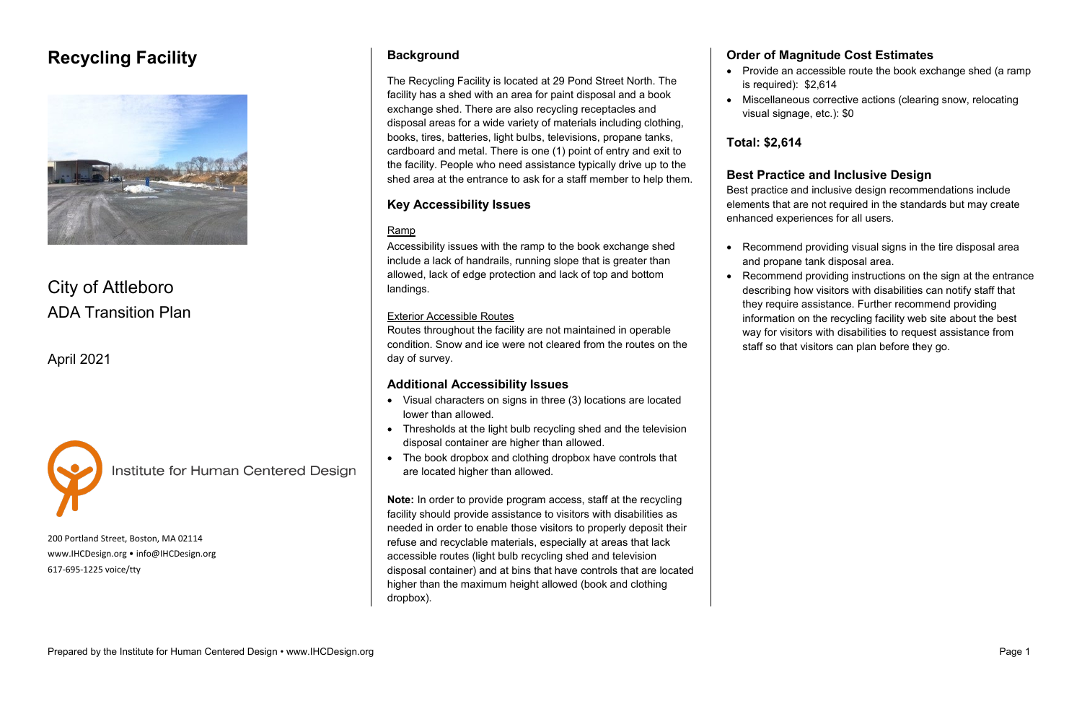## **Recycling Facility**



# City of Attleboro ADA Transition Plan

April 2021



Institute for Human Centered Design

200 Portland Street, Boston, MA 02114 [www.IHCDesign.org](http://www.ihcdesign.org/) • [info@IHCDesign.org](mailto:info@IHCDesign.org) 617-695-1225 voice/tty

#### **Background**

The Recycling Facility is located at 29 Pond Street North. The facility has a shed with an area for paint disposal and a book exchange shed. There are also recycling receptacles and disposal areas for a wide variety of materials including clothing, books, tires, batteries, light bulbs, televisions, propane tanks, cardboard and metal. There is one (1) point of entry and exit to the facility. People who need assistance typically drive up to the shed area at the entrance to ask for a staff member to help them.

#### **Key Accessibility Issues**

#### Ramp

Accessibility issues with the ramp to the book exchange shed include a lack of handrails, running slope that is greater than allowed, lack of edge protection and lack of top and bottom landings.

• Provide an accessible route the book exchange shed (a ramp • Miscellaneous corrective actions (clearing snow, relocating

#### Exterior Accessible Routes

Routes throughout the facility are not maintained in operable condition. Snow and ice were not cleared from the routes on the day of survey.

#### **Additional Accessibility Issues**

- Visual characters on signs in three (3) locations are located lower than allowed.
- Thresholds at the light bulb recycling shed and the television disposal container are higher than allowed.
- The book dropbox and clothing dropbox have controls that are located higher than allowed.

**Note:** In order to provide program access, staff at the recycling facility should provide assistance to visitors with disabilities as needed in order to enable those visitors to properly deposit their refuse and recyclable materials, especially at areas that lack accessible routes (light bulb recycling shed and television disposal container) and at bins that have controls that are located higher than the maximum height allowed (book and clothing dropbox).

#### **Order of Magnitude Cost Estimates**

- is required): \$2,614
- 

visual signage, etc.): \$0

**Total: \$2,614**

#### **Best Practice and Inclusive Design**

Best practice and inclusive design recommendations include elements that are not required in the standards but may create enhanced experiences for all users.

- 
- 

• Recommend providing visual signs in the tire disposal area and propane tank disposal area.

• Recommend providing instructions on the sign at the entrance describing how visitors with disabilities can notify staff that they require assistance. Further recommend providing information on the recycling facility web site about the best way for visitors with disabilities to request assistance from staff so that visitors can plan before they go.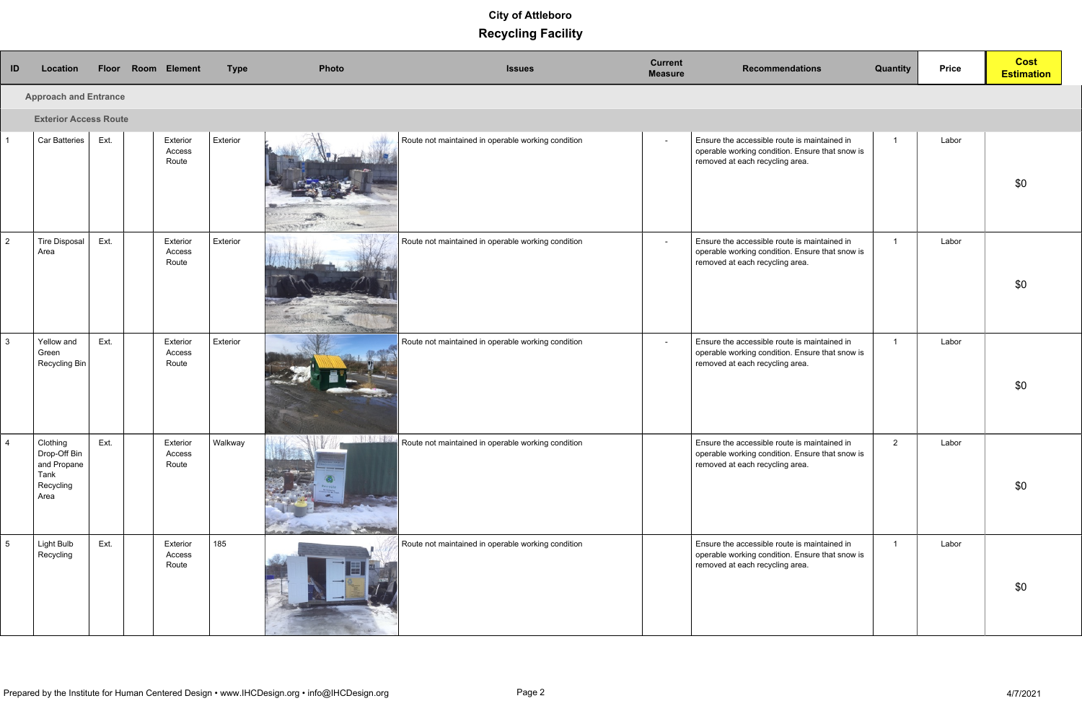| ID            | Location                                                             | Floor |  | Room Element                | <b>Type</b> | Photo       | <b>Issues</b>                                      | <b>Current</b><br><b>Measure</b> | <b>Recommendations</b>                                                                                                             | <b>Quantity</b> | <b>Price</b> | <b>Cost</b><br><b>Estimation</b> |
|---------------|----------------------------------------------------------------------|-------|--|-----------------------------|-------------|-------------|----------------------------------------------------|----------------------------------|------------------------------------------------------------------------------------------------------------------------------------|-----------------|--------------|----------------------------------|
|               | <b>Approach and Entrance</b>                                         |       |  |                             |             |             |                                                    |                                  |                                                                                                                                    |                 |              |                                  |
|               | <b>Exterior Access Route</b>                                         |       |  |                             |             |             |                                                    |                                  |                                                                                                                                    |                 |              |                                  |
|               | Car Batteries                                                        | Ext.  |  | Exterior<br>Access<br>Route | Exterior    | SASA PIREKI | Route not maintained in operable working condition | $\sim$                           | Ensure the accessible route is maintained in<br>operable working condition. Ensure that snow is<br>removed at each recycling area. |                 | Labor        | \$0                              |
| $\mathcal{P}$ | Tire Disposal<br>Area                                                | Ext.  |  | Exterior<br>Access<br>Route | Exterior    |             | Route not maintained in operable working condition | $\sim$                           | Ensure the accessible route is maintained in<br>operable working condition. Ensure that snow is<br>removed at each recycling area. | $\overline{1}$  | Labor        | \$0                              |
| 3             | Yellow and<br>Green<br>Recycling Bin                                 | Ext.  |  | Exterior<br>Access<br>Route | Exterior    |             | Route not maintained in operable working condition | $\sim$                           | Ensure the accessible route is maintained in<br>operable working condition. Ensure that snow is<br>removed at each recycling area. | $\overline{1}$  | Labor        | \$0                              |
|               | Clothing<br>Drop-Off Bin<br>and Propane<br>Tank<br>Recycling<br>Area | Ext.  |  | Exterior<br>Access<br>Route | Walkway     |             | Route not maintained in operable working condition |                                  | Ensure the accessible route is maintained in<br>operable working condition. Ensure that snow is<br>removed at each recycling area. | 2               | Labor        | \$0                              |
| 5             | Light Bulb<br>Recycling                                              | Ext.  |  | Exterior<br>Access<br>Route | 185         |             | Route not maintained in operable working condition |                                  | Ensure the accessible route is maintained in<br>operable working condition. Ensure that snow is<br>removed at each recycling area. | $\overline{1}$  | Labor        | \$0                              |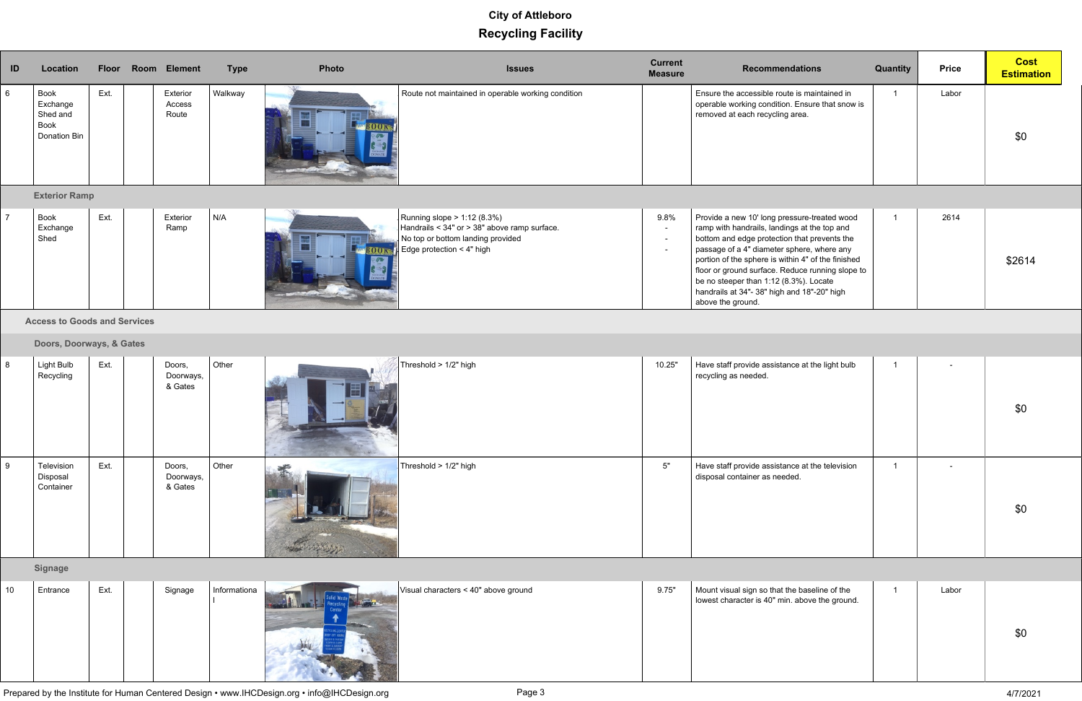| ID             | Location                                             |      | Floor Room Element          | <b>Type</b> | Photo | <b>Issues</b>                                                                                                                                      | <b>Current</b><br><b>Measure</b>   | <b>Recommendations</b>                                                                                                                                                                                                                                                                                                                                                                                             | Quantity | <b>Price</b> | <b>Cost</b><br><b>Estimation</b> |
|----------------|------------------------------------------------------|------|-----------------------------|-------------|-------|----------------------------------------------------------------------------------------------------------------------------------------------------|------------------------------------|--------------------------------------------------------------------------------------------------------------------------------------------------------------------------------------------------------------------------------------------------------------------------------------------------------------------------------------------------------------------------------------------------------------------|----------|--------------|----------------------------------|
| 6              | Book<br>Exchange<br>Shed and<br>Book<br>Donation Bin | Ext. | Exterior<br>Access<br>Route | Walkway     |       | Route not maintained in operable working condition                                                                                                 |                                    | Ensure the accessible route is maintained in<br>operable working condition. Ensure that snow is<br>removed at each recycling area.                                                                                                                                                                                                                                                                                 |          | Labor        | \$0                              |
|                | <b>Exterior Ramp</b>                                 |      |                             |             |       |                                                                                                                                                    |                                    |                                                                                                                                                                                                                                                                                                                                                                                                                    |          |              |                                  |
| $\overline{7}$ | Book<br>Exchange<br>Shed                             | Ext. | Exterior<br>Ramp            | N/A         |       | Running slope > 1:12 (8.3%)<br>Handrails < 34" or > 38" above ramp surface.<br>No top or bottom landing provided<br>Edge protection $\leq 4"$ high | 9.8%<br>$\sim$<br>$\sim$<br>$\sim$ | Provide a new 10' long pressure-treated wood<br>ramp with handrails, landings at the top and<br>bottom and edge protection that prevents the<br>passage of a 4" diameter sphere, where any<br>portion of the sphere is within 4" of the finished<br>floor or ground surface. Reduce running slope to<br>be no steeper than 1:12 (8.3%). Locate<br>handrails at 34"- 38" high and 18"-20" high<br>above the ground. |          | 2614         | \$2614                           |

**B. Access to Goods and Services**

#### **C. Doors, Doorways, & Gates**

| 8 | Ext.<br>Light Bulb<br>Recycling             | Doors,<br>Doorways,<br>& Gates   | Other | Threshold > 1/2" high<br>10.25" | Have staff provide assistance at the light bulb<br>recycling as needed.          | $\sim$ | \$0 |
|---|---------------------------------------------|----------------------------------|-------|---------------------------------|----------------------------------------------------------------------------------|--------|-----|
| 9 | Ext.<br>Television<br>Disposal<br>Container | Doors,<br>Doorways, I<br>& Gates | Other | Threshold > $1/2$ " high<br>5"  | Have staff provide assistance at the television<br>disposal container as needed. | $\sim$ | \$0 |

**H. Signage**

| 10 | Entrance | Ext. | Signage | Informationa<br>Visual characters < 40" above ground | 9.75" | $\mid$ Mount visual sign so that the baseline of the<br>owest character is 40" min. above the ground. | Labor |
|----|----------|------|---------|------------------------------------------------------|-------|-------------------------------------------------------------------------------------------------------|-------|
|    |          |      |         |                                                      |       |                                                                                                       |       |

Prepared by the Institute for Human Centered Design • www.IHCDesign.org • info@IHCDesign.org Page 3 4/7/2021

| baseline of the<br>above the ground. | 1 | Labor |     |  |
|--------------------------------------|---|-------|-----|--|
|                                      |   |       | \$0 |  |
|                                      |   |       |     |  |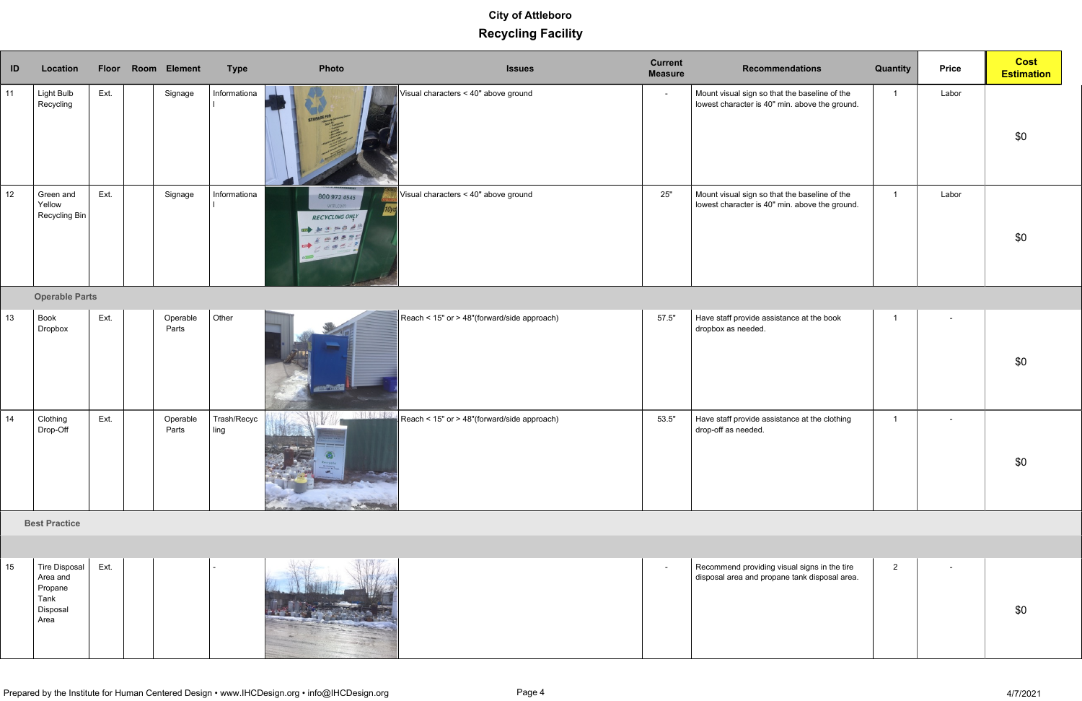| ID              | Location                                                                |      | Floor Room Element | <b>Type</b>         | Photo                                                  | <b>Issues</b>                               | <b>Current</b><br><b>Measure</b> | <b>Recommendations</b>                                                                          | <b>Quantity</b> | <b>Price</b>   | <b>Cost</b><br><b>Estimation</b> |
|-----------------|-------------------------------------------------------------------------|------|--------------------|---------------------|--------------------------------------------------------|---------------------------------------------|----------------------------------|-------------------------------------------------------------------------------------------------|-----------------|----------------|----------------------------------|
| 11              | <b>Light Bulb</b><br>Recycling                                          | Ext. | Signage            | Informationa        | STORAGE FOR                                            | Visual characters < 40" above ground        | $\sim$                           | Mount visual sign so that the baseline of the<br>lowest character is 40" min. above the ground. | $\overline{1}$  | Labor          | \$0                              |
| 12 <sup>°</sup> | Green and<br>Yellow<br>Recycling Bin                                    | Ext. | Signage            | Informationa        | 800 972 4545<br>wm.com<br><b>RECYCLING ONLY</b><br>山西平 | Visual characters < 40" above ground        | $25"$                            | Mount visual sign so that the baseline of the<br>lowest character is 40" min. above the ground. | $\overline{1}$  | Labor          | \$0                              |
|                 | <b>Operable Parts</b>                                                   |      |                    |                     |                                                        |                                             |                                  |                                                                                                 |                 |                |                                  |
| 13 <sup>°</sup> | Book<br>Dropbox                                                         | Ext. | Operable<br>Parts  | Other               | <b>SELF ROOK</b>                                       | Reach < 15" or > 48"(forward/side approach) | 57.5"                            | Have staff provide assistance at the book<br>dropbox as needed.                                 | $\overline{1}$  | $\blacksquare$ | \$0                              |
| 14              | Clothing<br>Drop-Off                                                    | Ext. | Operable<br>Parts  | Trash/Recyc<br>ling |                                                        | Reach < 15" or > 48"(forward/side approach) | 53.5"                            | Have staff provide assistance at the clothing<br>drop-off as needed.                            | $\overline{1}$  | $\blacksquare$ | \$0                              |
|                 | <b>Best Practice</b>                                                    |      |                    |                     |                                                        |                                             |                                  |                                                                                                 |                 |                |                                  |
|                 |                                                                         |      |                    |                     |                                                        |                                             |                                  |                                                                                                 |                 |                |                                  |
| 15 <sub>1</sub> | <b>Tire Disposal</b><br>Area and<br>Propane<br>Tank<br>Disposal<br>Area | Ext. |                    |                     |                                                        |                                             | $\sim$                           | Recommend providing visual signs in the tire<br>disposal area and propane tank disposal area.   | $\overline{2}$  | $\blacksquare$ | \$0                              |

| 15 | Ext.<br><b>Tire Disposal</b><br>Area and<br>Propane<br>Tank<br>Disposal |  | Recommend providing visua<br>$\sim$<br>disposal area and propane t |  |
|----|-------------------------------------------------------------------------|--|--------------------------------------------------------------------|--|
|    | Area                                                                    |  |                                                                    |  |